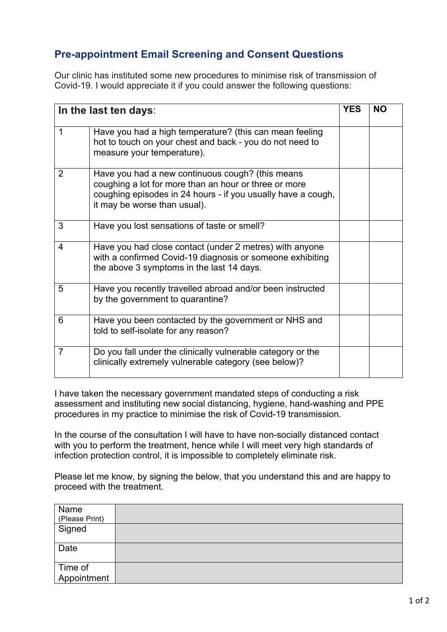## **Pre-appointment Email Screening and Consent Questions**

Our clinic has instituted some new procedures to minimise risk of transmission of Covid-19. I would appreciate it if you could answer the following questions:

| In the last ten days: |                                                                                                                                                                                                           |  | <b>NO</b> |
|-----------------------|-----------------------------------------------------------------------------------------------------------------------------------------------------------------------------------------------------------|--|-----------|
| 1                     | Have you had a high temperature? (this can mean feeling<br>hot to touch on your chest and back - you do not need to<br>measure your temperature).                                                         |  |           |
| 2                     | Have you had a new continuous cough? (this means<br>coughing a lot for more than an hour or three or more<br>coughing episodes in 24 hours - if you usually have a cough,<br>it may be worse than usual). |  |           |
| 3                     | Have you lost sensations of taste or smell?                                                                                                                                                               |  |           |
| 4                     | Have you had close contact (under 2 metres) with anyone<br>with a confirmed Covid-19 diagnosis or someone exhibiting<br>the above 3 symptoms in the last 14 days.                                         |  |           |
| 5                     | Have you recently travelled abroad and/or been instructed<br>by the government to quarantine?                                                                                                             |  |           |
| 6                     | Have you been contacted by the government or NHS and<br>told to self-isolate for any reason?                                                                                                              |  |           |
| $\overline{7}$        | Do you fall under the clinically vulnerable category or the<br>clinically extremely vulnerable category (see below)?                                                                                      |  |           |

I have taken the necessary government mandated steps of conducting a risk assessment and instituting new social distancing, hygiene, hand-washing and PPE procedures in my practice to minimise the risk of Covid-19 transmission.

In the course of the consultation I will have to have non-socially distanced contact with you to perform the treatment, hence while I will meet very high standards of infection protection control, it is impossible to completely eliminate risk.

Please let me know, by signing the below, that you understand this and are happy to proceed with the treatment.

| Name<br>(Please Print) |  |
|------------------------|--|
| Signed                 |  |
| Date                   |  |
| Time of                |  |
| Appointment            |  |